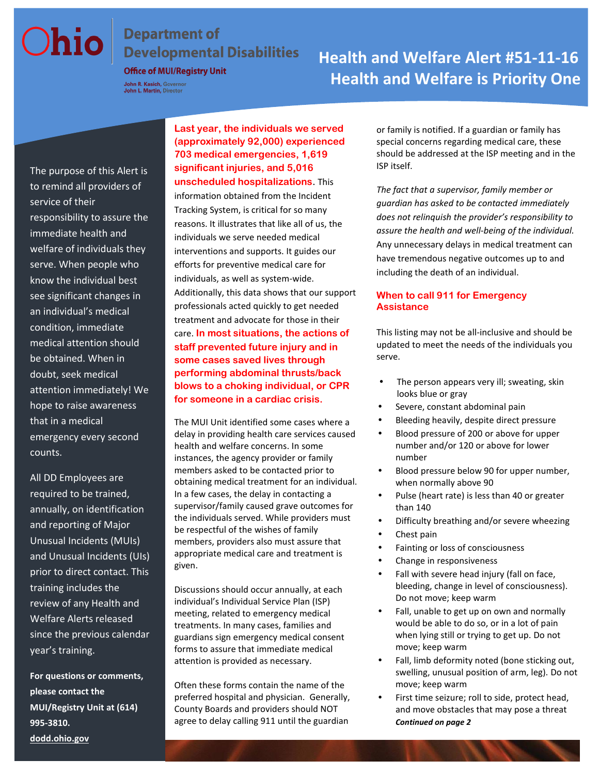John R. Kasich, Governor<br>John L. Martin, Director

# **Chio** Department of<br>Developmental Disabilities<br>
Health and Welfare Alert #51-11-16  **Health and Welfare is Priority One**

The purpose of this Alert is to remind all providers of service of their responsibility to assure the immediate health and welfare of individuals they serve. When people who know the individual best see significant changes in an individual's medical condition, immediate medical attention should be obtained. When in doubt, seek medical attention immediately! We hope to raise awareness that in a medical emergency every second counts.

All DD Employees are required to be trained, annually, on identification and reporting of Major Unusual Incidents (MUIs) and Unusual Incidents (UIs) prior to direct contact. This training includes the review of any Health and Welfare Alerts released since the previous calendar year's training.

**For questions or comments, please contact the MUI/Registry Unit at (614) 995-3810.**

**Last year, the individuals we served (approximately 92,000) experienced 703 medical emergencies, 1,619 significant injuries, and 5,016 unscheduled hospitalizations**. This information obtained from the Incident Tracking System, is critical for so many reasons. It illustrates that like all of us, the individuals we serve needed medical interventions and supports. It guides our efforts for preventive medical care for individuals, as well as system-wide. Additionally, this data shows that our support professionals acted quickly to get needed treatment and advocate for those in their care. **In most situations, the actions of staff prevented future injury and in some cases saved lives through performing abdominal thrusts/back blows to a choking individual, or CPR for someone in a cardiac crisis.** 

The MUI Unit identified some cases where a delay in providing health care services caused health and welfare concerns. In some instances, the agency provider or family members asked to be contacted prior to obtaining medical treatment for an individual. In a few cases, the delay in contacting a supervisor/family caused grave outcomes for the individuals served. While providers must be respectful of the wishes of family members, providers also must assure that appropriate medical care and treatment is given.

Discussions should occur annually, at each individual's Individual Service Plan (ISP) meeting, related to emergency medical treatments. In many cases, families and guardians sign emergency medical consent forms to assure that immediate medical attention is provided as necessary.

Often these forms contain the name of the preferred hospital and physician. Generally, County Boards and providers should NOT agree to delay calling 911 until the guardian

or family is notified. If a guardian or family has special concerns regarding medical care, these should be addressed at the ISP meeting and in the ISP itself.

*The fact that a supervisor, family member or guardian has asked to be contacted immediately does not relinquish the provider's responsibility to assure the health and well-being of the individual.* Any unnecessary delays in medical treatment can have tremendous negative outcomes up to and including the death of an individual.

#### **When to call 911 for Emergency Assistance**

This listing may not be all-inclusive and should be updated to meet the needs of the individuals you serve.

- The person appears very ill; sweating, skin looks blue or gray
- Severe, constant abdominal pain
- Bleeding heavily, despite direct pressure
- Blood pressure of 200 or above for upper number and/or 120 or above for lower number
- Blood pressure below 90 for upper number, when normally above 90
- Pulse (heart rate) is less than 40 or greater than 140
- Difficulty breathing and/or severe wheezing
- Chest pain
- Fainting or loss of consciousness
- Change in responsiveness
- Fall with severe head injury (fall on face, bleeding, change in level of consciousness). Do not move; keep warm
- Fall, unable to get up on own and normally would be able to do so, or in a lot of pain when lying still or trying to get up. Do not move; keep warm
- Fall, limb deformity noted (bone sticking out, swelling, unusual position of arm, leg). Do not move; keep warm
- First time seizure; roll to side, protect head, and move obstacles that may pose a threat *Continued on page 2*

**[dodd.ohio.gov](http://www.dodd.ohio.gov/)**